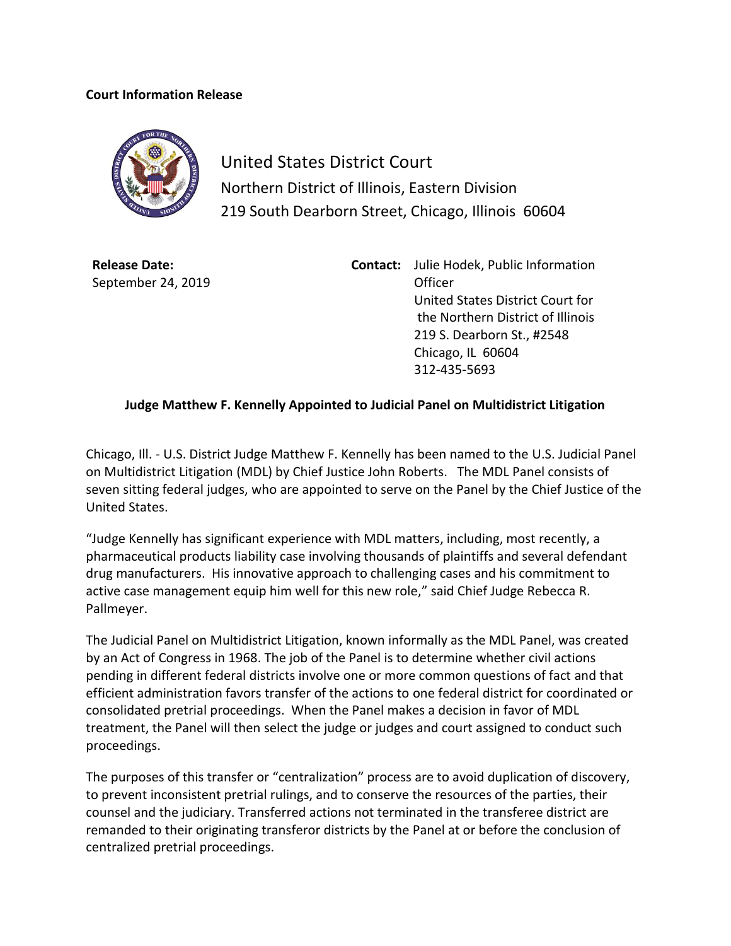## **Court Information Release**



United States District Court Northern District of Illinois, Eastern Division 219 South Dearborn Street, Chicago, Illinois 60604

**Release Date:** September 24, 2019 **Contact:** Julie Hodek, Public Information Officer United States District Court for the Northern District of Illinois 219 S. Dearborn St., #2548 Chicago, IL 60604 312-435-5693

## **Judge Matthew F. Kennelly Appointed to Judicial Panel on Multidistrict Litigation**

Chicago, Ill. - U.S. District Judge Matthew F. Kennelly has been named to the U.S. Judicial Panel on Multidistrict Litigation (MDL) by Chief Justice John Roberts. The MDL Panel consists of seven sitting federal judges, who are appointed to serve on the Panel by the Chief Justice of the United States.

"Judge Kennelly has significant experience with MDL matters, including, most recently, a pharmaceutical products liability case involving thousands of plaintiffs and several defendant drug manufacturers. His innovative approach to challenging cases and his commitment to active case management equip him well for this new role," said Chief Judge Rebecca R. Pallmeyer.

The Judicial Panel on Multidistrict Litigation, known informally as the MDL Panel, was created by an Act of Congress in 1968. The job of the Panel is to determine whether civil actions pending in different federal districts involve one or more common questions of fact and that efficient administration favors transfer of the actions to one federal district for coordinated or consolidated pretrial proceedings. When the Panel makes a decision in favor of MDL treatment, the Panel will then select the judge or judges and court assigned to conduct such proceedings.

The purposes of this transfer or "centralization" process are to avoid duplication of discovery, to prevent inconsistent pretrial rulings, and to conserve the resources of the parties, their counsel and the judiciary. Transferred actions not terminated in the transferee district are remanded to their originating transferor districts by the Panel at or before the conclusion of centralized pretrial proceedings.